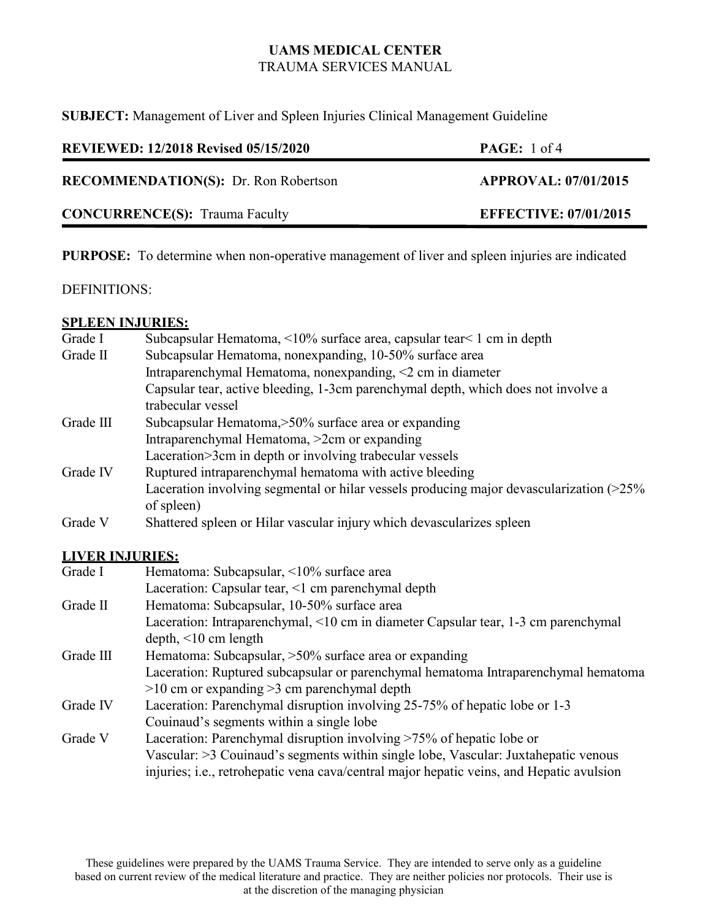**SUBJECT:** Management of Liver and Spleen Injuries Clinical Management Guideline

| <b>REVIEWED: 12/2018 Revised 05/15/2020</b> | <b>PAGE:</b> 1 of 4          |
|---------------------------------------------|------------------------------|
| <b>RECOMMENDATION(S):</b> Dr. Ron Robertson | <b>APPROVAL: 07/01/2015</b>  |
| <b>CONCURRENCE(S):</b> Trauma Faculty       | <b>EFFECTIVE: 07/01/2015</b> |

**PURPOSE:** To determine when non-operative management of liver and spleen injuries are indicated

### DEFINITIONS:

### **SPLEEN INJURIES:**

| Grade I   | Subcapsular Hematoma, <10% surface area, capsular tear<1 cm in depth                     |
|-----------|------------------------------------------------------------------------------------------|
| Grade II  | Subcapsular Hematoma, nonexpanding, 10-50% surface area                                  |
|           | Intraparenchymal Hematoma, nonexpanding, $\leq$ cm in diameter                           |
|           | Capsular tear, active bleeding, 1-3cm parenchymal depth, which does not involve a        |
|           | trabecular vessel                                                                        |
| Grade III | Subcapsular Hematoma, > 50% surface area or expanding                                    |
|           | Intraparenchymal Hematoma, >2cm or expanding                                             |
|           | Laceration>3cm in depth or involving trabecular vessels                                  |
| Grade IV  | Ruptured intraparenchymal hematoma with active bleeding                                  |
|           | Laceration involving segmental or hilar vessels producing major devascularization (>25%) |
|           | of spleen)                                                                               |
| Grade V   | Shattered spleen or Hilar vascular injury which devascularizes spleen                    |

### **LIVER INJURIES:**

| Grade I   | Hematoma: Subcapsular, <10% surface area                                                 |
|-----------|------------------------------------------------------------------------------------------|
|           | Laceration: Capsular tear, <1 cm parenchymal depth                                       |
| Grade II  | Hematoma: Subcapsular, 10-50% surface area                                               |
|           | Laceration: Intraparenchymal, <10 cm in diameter Capsular tear, 1-3 cm parenchymal       |
|           | $depth, <10$ cm length                                                                   |
| Grade III | Hematoma: Subcapsular, $>50\%$ surface area or expanding                                 |
|           | Laceration: Ruptured subcapsular or parenchymal hematoma Intraparenchymal hematoma       |
|           | $>10$ cm or expanding $>3$ cm parenchymal depth                                          |
| Grade IV  | Laceration: Parenchymal disruption involving 25-75% of hepatic lobe or 1-3               |
|           | Couinaud's segments within a single lobe                                                 |
| Grade V   | Laceration: Parenchymal disruption involving $>75\%$ of hepatic lobe or                  |
|           | Vascular: >3 Couinaud's segments within single lobe, Vascular: Juxtahepatic venous       |
|           | injuries; i.e., retrohepatic vena cava/central major hepatic veins, and Hepatic avulsion |

These guidelines were prepared by the UAMS Trauma Service. They are intended to serve only as a guideline based on current review of the medical literature and practice. They are neither policies nor protocols. Their use is at the discretion of the managing physician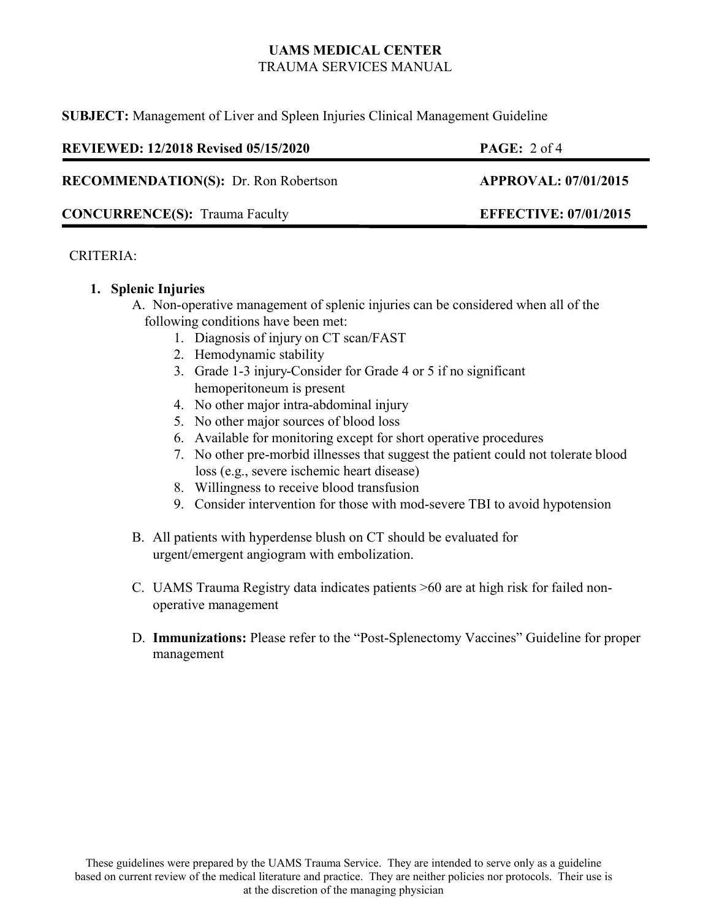**SUBJECT:** Management of Liver and Spleen Injuries Clinical Management Guideline

| <b>REVIEWED: 12/2018 Revised 05/15/2020</b> | <b>PAGE:</b> $2 \text{ of } 4$ |
|---------------------------------------------|--------------------------------|
| <b>RECOMMENDATION(S):</b> Dr. Ron Robertson | <b>APPROVAL: 07/01/2015</b>    |
| <b>CONCURRENCE(S):</b> Trauma Faculty       | <b>EFFECTIVE: 07/01/2015</b>   |

### CRITERIA:

### **1. Splenic Injuries**

- A. Non-operative management of splenic injuries can be considered when all of the following conditions have been met:
	- 1. Diagnosis of injury on CT scan/FAST
	- 2. Hemodynamic stability
	- 3. Grade 1-3 injury-Consider for Grade 4 or 5 if no significant hemoperitoneum is present
	- 4. No other major intra-abdominal injury
	- 5. No other major sources of blood loss
	- 6. Available for monitoring except for short operative procedures
	- 7. No other pre-morbid illnesses that suggest the patient could not tolerate blood loss (e.g., severe ischemic heart disease)
	- 8. Willingness to receive blood transfusion
	- 9. Consider intervention for those with mod-severe TBI to avoid hypotension
- B. All patients with hyperdense blush on CT should be evaluated for urgent/emergent angiogram with embolization.
- C. UAMS Trauma Registry data indicates patients >60 are at high risk for failed nonoperative management
- D. **Immunizations:** Please refer to the "Post-Splenectomy Vaccines" Guideline for proper management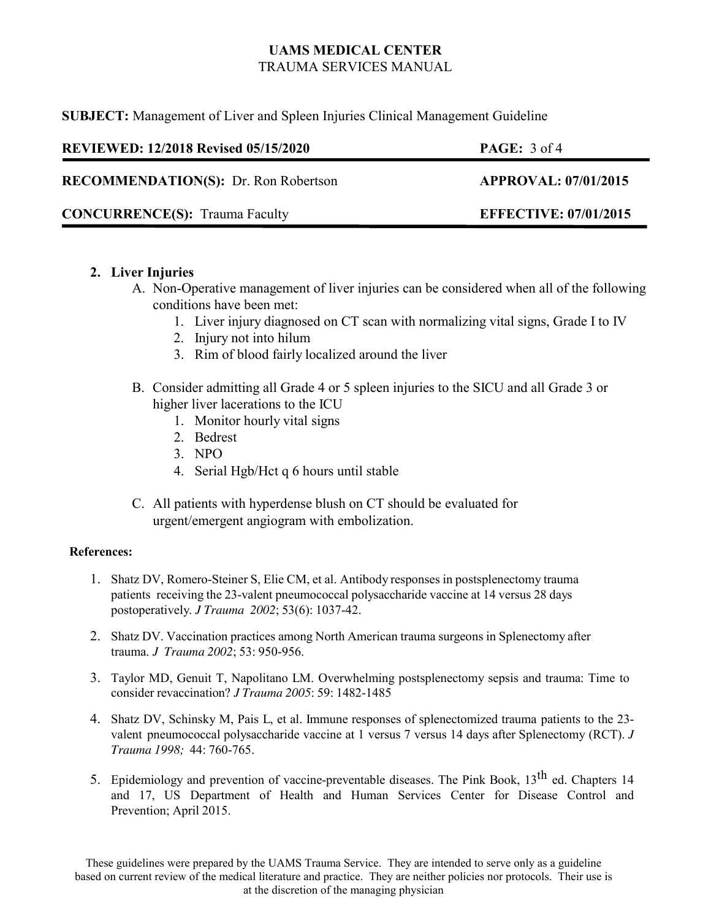**SUBJECT:** Management of Liver and Spleen Injuries Clinical Management Guideline

| <b>REVIEWED: 12/2018 Revised 05/15/2020</b> | <b>PAGE:</b> $3 \text{ of } 4$ |
|---------------------------------------------|--------------------------------|
| <b>RECOMMENDATION(S):</b> Dr. Ron Robertson | <b>APPROVAL: 07/01/2015</b>    |
| <b>CONCURRENCE(S):</b> Trauma Faculty       | <b>EFFECTIVE: 07/01/2015</b>   |

### **2. Liver Injuries**

- A. Non-Operative management of liver injuries can be considered when all of the following conditions have been met:
	- 1. Liver injury diagnosed on CT scan with normalizing vital signs, Grade I to IV
	- 2. Injury not into hilum
	- 3. Rim of blood fairly localized around the liver
- B. Consider admitting all Grade 4 or 5 spleen injuries to the SICU and all Grade 3 or higher liver lacerations to the ICU
	- 1. Monitor hourly vital signs
	- 2. Bedrest
	- 3. NPO
	- 4. Serial Hgb/Hct q 6 hours until stable
- C. All patients with hyperdense blush on CT should be evaluated for urgent/emergent angiogram with embolization.

#### **References:**

- 1. Shatz DV, Romero-Steiner S, Elie CM, et al. Antibody responses in postsplenectomy trauma patients receiving the 23-valent pneumococcal polysaccharide vaccine at 14 versus 28 days postoperatively. *J Trauma 2002*; 53(6): 1037-42.
- 2. Shatz DV. Vaccination practices among North American trauma surgeons in Splenectomy after trauma. *J Trauma 2002*; 53: 950-956.
- 3. Taylor MD, Genuit T, Napolitano LM. Overwhelming postsplenectomy sepsis and trauma: Time to consider revaccination? *J Trauma 2005*: 59: 1482-1485
- 4. Shatz DV, Schinsky M, Pais L, et al. Immune responses of splenectomized trauma patients to the 23 valent pneumococcal polysaccharide vaccine at 1 versus 7 versus 14 days after Splenectomy (RCT). *J Trauma 1998;* 44: 760-765.
- 5. Epidemiology and prevention of vaccine-preventable diseases. The Pink Book, 13<sup>th</sup> ed. Chapters 14 and 17, US Department of Health and Human Services Center for Disease Control and Prevention; April 2015.

These guidelines were prepared by the UAMS Trauma Service. They are intended to serve only as a guideline based on current review of the medical literature and practice. They are neither policies nor protocols. Their use is at the discretion of the managing physician